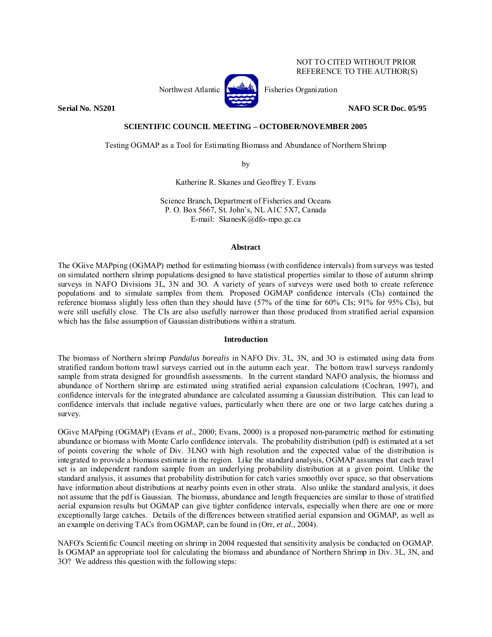## NOT TO CITED WITHOUT PRIOR REFERENCE TO THE AUTHOR(S)



Northwest Atlantic  $\left[\begin{matrix} 1 & 1 \\ 1 & 1 \end{matrix}\right]$  Fisheries Organization

**Serial No. N5201 NAFO SCR Doc. 05/95** 

## **SCIENTIFIC COUNCIL MEETING – OCTOBER/NOVEMBER 2005**

Testing OGMAP as a Tool for Estimating Biomass and Abundance of Northern Shrimp

by

Katherine R. Skanes and Geoffrey T. Evans

Science Branch, Department of Fisheries and Oceans P. O. Box 5667, St. John's, NL A1C 5X7, Canada E-mail: SkanesK@dfo-mpo.gc.ca

## **Abstract**

The OGive MAPping (OGMAP) method for estimating biomass (with confidence intervals) from surveys was tested on simulated northern shrimp populations designed to have statistical properties similar to those of autumn shrimp surveys in NAFO Divisions 3L, 3N and 3O. A variety of years of surveys were used both to create reference populations and to simulate samples from them. Proposed OGMAP confidence intervals (CIs) contained the reference biomass slightly less often than they should have (57% of the time for 60% CIs; 91% for 95% CIs), but were still usefully close. The CIs are also usefully narrower than those produced from stratified aerial expansion which has the false assumption of Gaussian distributions within a stratum.

### **Introduction**

The biomass of Northern shrimp *Pandalus borealis* in NAFO Div. 3L, 3N, and 3O is estimated using data from stratified random bottom trawl surveys carried out in the autumn each year. The bottom trawl surveys randomly sample from strata designed for groundfish assessments. In the current standard NAFO analysis, the biomass and abundance of Northern shrimp are estimated using stratified aerial expansion calculations (Cochran, 1997), and confidence intervals for the integrated abundance are calculated assuming a Gaussian distribution. This can lead to confidence intervals that include negative values, particularly when there are one or two large catches during a survey.

OGive MAPping (OGMAP) (Evans *et al.*, 2000; Evans, 2000) is a proposed non-parametric method for estimating abundance or biomass with Monte Carlo confidence intervals. The probability distribution (pdf) is estimated at a set of points covering the whole of Div. 3LNO with high resolution and the expected value of the distribution is integrated to provide a biomass estimate in the region. Like the standard analysis, OGMAP assumes that each trawl set is an independent random sample from an underlying probability distribution at a given point. Unlike the standard analysis, it assumes that probability distribution for catch varies smoothly over space, so that observations have information about distributions at nearby points even in other strata. Also unlike the standard analysis, it does not assume that the pdf is Gaussian. The biomass, abundance and length frequencies are similar to those of stratified aerial expansion results but OGMAP can give tighter confidence intervals, especially when there are one or more exceptionally large catches. Details of the differences between stratified aerial expansion and OGMAP, as well as an example on deriving TACs from OGMAP, can be found in (Orr, *et al.*, 2004).

NAFO's Scientific Council meeting on shrimp in 2004 requested that sensitivity analysis be conducted on OGMAP. Is OGMAP an appropriate tool for calculating the biomass and abundance of Northern Shrimp in Div. 3L, 3N, and 3O? We address this question with the following steps: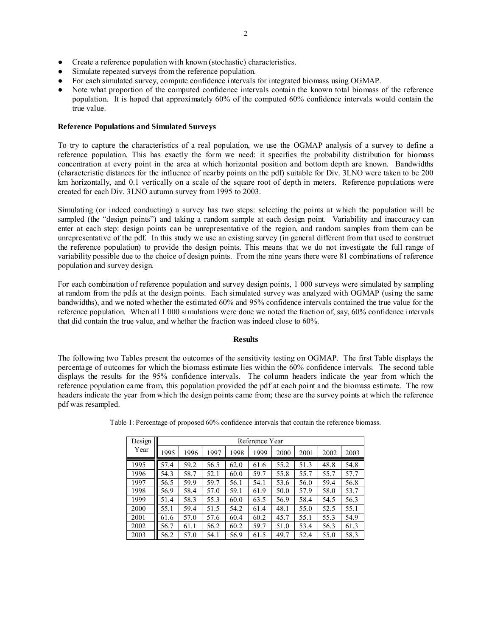- Create a reference population with known (stochastic) characteristics.
- Simulate repeated surveys from the reference population.
- For each simulated survey, compute confidence intervals for integrated biomass using OGMAP.
- Note what proportion of the computed confidence intervals contain the known total biomass of the reference population. It is hoped that approximately 60% of the computed 60% confidence intervals would contain the true value.

# **Reference Populations and Simulated Surveys**

To try to capture the characteristics of a real population, we use the OGMAP analysis of a survey to define a reference population. This has exactly the form we need: it specifies the probability distribution for biomass concentration at every point in the area at which horizontal position and bottom depth are known. Bandwidths (characteristic distances for the influence of nearby points on the pdf) suitable for Div. 3LNO were taken to be 200 km horizontally, and 0.1 vertically on a scale of the square root of depth in meters. Reference populations were created for each Div. 3LNO autumn survey from 1995 to 2003.

Simulating (or indeed conducting) a survey has two steps: selecting the points at which the population will be sampled (the "design points") and taking a random sample at each design point. Variability and inaccuracy can enter at each step: design points can be unrepresentative of the region, and random samples from them can be unrepresentative of the pdf. In this study we use an existing survey (in general different from that used to construct the reference population) to provide the design points. This means that we do not investigate the full range of variability possible due to the choice of design points. From the nine years there were 81 combinations of reference population and survey design.

For each combination of reference population and survey design points, 1 000 surveys were simulated by sampling at random from the pdfs at the design points. Each simulated survey was analyzed with OGMAP (using the same bandwidths), and we noted whether the estimated 60% and 95% confidence intervals contained the true value for the reference population. When all 1 000 simulations were done we noted the fraction of, say, 60% confidence intervals that did contain the true value, and whether the fraction was indeed close to 60%.

### **Results**

The following two Tables present the outcomes of the sensitivity testing on OGMAP. The first Table displays the percentage of outcomes for which the biomass estimate lies within the 60% confidence intervals. The second table displays the results for the 95% confidence intervals. The column headers indicate the year from which the reference population came from, this population provided the pdf at each point and the biomass estimate. The row headers indicate the year from which the design points came from; these are the survey points at which the reference pdf was resampled.

| Design | Reference Year |      |      |      |      |      |      |      |      |  |
|--------|----------------|------|------|------|------|------|------|------|------|--|
| Year   | 1995           | 1996 | 1997 | 1998 | 1999 | 2000 | 2001 | 2002 | 2003 |  |
| 1995   | 57.4           | 59.2 | 56.5 | 62.0 | 61.6 | 55.2 | 51.3 | 48.8 | 54.8 |  |
| 1996   | 54.3           | 58.7 | 52.1 | 60.0 | 59.7 | 55.8 | 55.7 | 55.7 | 57.7 |  |
| 1997   | 56.5           | 59.9 | 59.7 | 56.1 | 54.1 | 53.6 | 56.0 | 59.4 | 56.8 |  |
| 1998   | 56.9           | 58.4 | 57.0 | 59.1 | 61.9 | 50.0 | 57.9 | 58.0 | 53.7 |  |
| 1999   | 51.4           | 58.3 | 55.3 | 60.0 | 63.5 | 56.9 | 58.4 | 54.5 | 56.3 |  |
| 2000   | 55.1           | 59.4 | 51.5 | 54.2 | 61.4 | 48.1 | 55.0 | 52.5 | 55.1 |  |
| 2001   | 61.6           | 57.0 | 57.6 | 60.4 | 60.2 | 45.7 | 55.1 | 55.3 | 54.9 |  |
| 2002   | 56.7           | 61.1 | 56.2 | 60.2 | 59.7 | 51.0 | 53.4 | 56.3 | 61.3 |  |
| 2003   | 56.2           | 57.0 | 54.1 | 56.9 | 61.5 | 49.7 | 52.4 | 55.0 | 58.3 |  |

Table 1: Percentage of proposed 60% confidence intervals that contain the reference biomass.